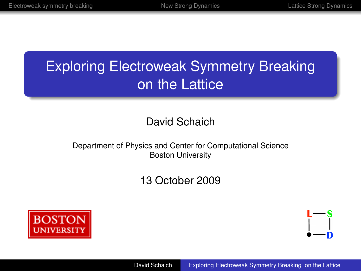# Exploring Electroweak Symmetry Breaking on the Lattice

### David Schaich

#### Department of Physics and Center for Computational Science Boston University

### 13 October 2009



<span id="page-0-0"></span>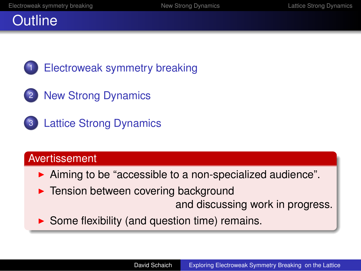## **Outline**

[Electroweak symmetry breaking](#page-2-0)

- 2 [New Strong Dynamics](#page-6-0)
- 3 [Lattice Strong Dynamics](#page-11-0)

### **Avertissement**

- $\triangleright$  Aiming to be "accessible to a non-specialized audience".
- $\blacktriangleright$  Tension between covering background
	- and discussing work in progress.
- $\triangleright$  Some flexibility (and question time) remains.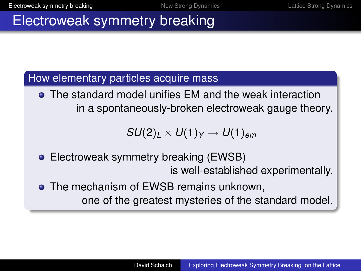## Electroweak symmetry breaking

### How elementary particles acquire mass

The standard model unifies EM and the weak interaction in a spontaneously-broken electroweak gauge theory.

<span id="page-2-0"></span>
$$
SU(2)_L\times U(1)_Y\to U(1)_{em}
$$

- Electroweak symmetry breaking (EWSB) is well-established experimentally.
- **The mechanism of EWSB remains unknown.** one of the greatest mysteries of the standard model.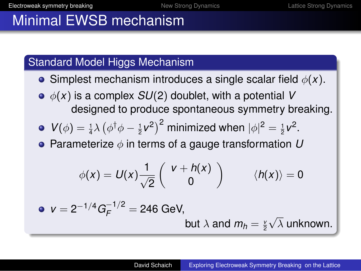# Minimal EWSB mechanism

### Standard Model Higgs Mechanism

- **•** Simplest mechanism introduces a single scalar field  $\phi(x)$ .
- $\phi(x)$  is a complex  $SU(2)$  doublet, with a potential V designed to produce spontaneous symmetry breaking.

• 
$$
V(\phi) = \frac{1}{4}\lambda \left(\phi^{\dagger}\phi - \frac{1}{2}v^2\right)^2
$$
 minimized when  $|\phi|^2 = \frac{1}{2}v^2$ .

**•** Parameterize  $\phi$  in terms of a gauge transformation  $U$ 

$$
\phi(x) = U(x) \frac{1}{\sqrt{2}} \left( \begin{array}{c} v + h(x) \\ 0 \end{array} \right) \qquad \langle h(x) \rangle = 0
$$

• 
$$
v = 2^{-1/4} G_F^{-1/2} = 246 \text{ GeV},
$$
  
but  $\lambda$  and  $m_h = \frac{v}{2} \sqrt{\lambda}$  unknown.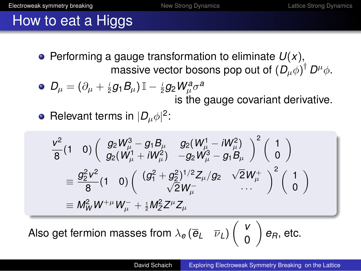# How to eat a Higgs

 $\bullet$  Performing a gauge transformation to eliminate  $U(x)$ , massive vector bosons pop out of  $(D_\mu \phi)^\dagger\, D^\mu \phi.$ 

• 
$$
D_{\mu} = (\partial_{\mu} + \frac{i}{2}g_1B_{\mu})\mathbb{I} - \frac{i}{2}g_2W_{\mu}^a\sigma^a
$$
  
is the gauge covariant derivative.

Relevant terms in  $|D_\mu \phi|^2$ :

$$
\frac{v^2}{8}(1\ 0)\left(\begin{array}{cc}g_2W_\mu^3-g_1B_\mu & g_2(W_\mu^1-iW_\mu^2)\\ g_2(W_\mu^1+iW_\mu^2) & -g_2W_\mu^3-g_1B_\mu\end{array}\right)^2\left(\begin{array}{c}1\\ 0\end{array}\right)
$$
  
= 
$$
\frac{g_2^2v^2}{8}(1\ 0)\left(\begin{array}{cc}(g_1^2+g_2^2)^{1/2}Z_\mu/g_2 & \sqrt{2}W_\mu^+\\ \sqrt{2}W_\mu^- & \cdots \end{array}\right)^2\left(\begin{array}{c}1\\ 0\end{array}\right)
$$
  
= 
$$
M_W^2W^{+\mu}W_\mu^- + \frac{1}{2}M_Z^2Z^\mu Z_\mu
$$

Also get fermion masses from λ*<sup>e</sup>* (*e<sup>L</sup>* ν*L*) *v* 0  $\bigg\}$   $e_R$ , etc.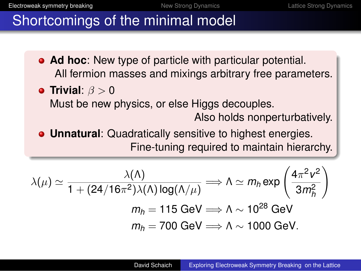# Shortcomings of the minimal model

- **Ad hoc**: New type of particle with particular potential. All fermion masses and mixings arbitrary free parameters.
- **Trivial:**  $\beta > 0$ Must be new physics, or else Higgs decouples. Also holds nonperturbatively.
- **Unnatural**: Quadratically sensitive to highest energies. Fine-tuning required to maintain hierarchy.

$$
\lambda(\mu) \simeq \frac{\lambda(\Lambda)}{1 + (24/16\pi^2)\lambda(\Lambda)\log(\Lambda/\mu)} \Longrightarrow \Lambda \simeq m_h \exp\left(\frac{4\pi^2 v^2}{3m_h^2}\right)
$$

$$
m_h = 115 \text{ GeV} \Longrightarrow \Lambda \sim 10^{28} \text{ GeV}
$$

$$
m_h = 700 \text{ GeV} \Longrightarrow \Lambda \sim 1000 \text{ GeV}.
$$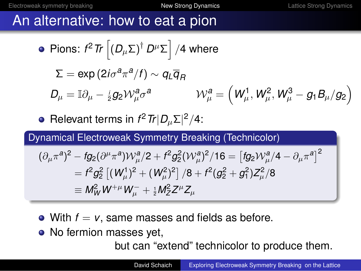## An alternative: how to eat a pion

• Pions: 
$$
t^2 \text{Tr} \left[ (D_{\mu} \Sigma)^{\dagger} D^{\mu} \Sigma \right] / 4 \text{ where}
$$
\n
$$
\Sigma = \exp(2i\sigma^2 \pi^a / f) \sim q_L \overline{q}_R
$$
\n
$$
D_{\mu} = \mathbb{I} \partial_{\mu} - \frac{i}{2} g_2 \mathcal{W}_{\mu}^a \sigma^a \qquad \mathcal{W}_{\mu}^a = \left( W_{\mu}^1, W_{\mu}^2, W_{\mu}^3 - g_1 B_{\mu} / g_2 \right)
$$
\n• Relevant terms in  $t^2 \text{Tr} |D_{\mu} \Sigma|^2 / 4$ :  
\nDynamical Electroweak Symmetry Breaking (Technicolor)  
\n
$$
(\partial_{\mu} \pi^a)^2 - f g_2 (\partial^{\mu} \pi^a) \mathcal{W}_{\mu}^a / 2 + f^2 g_2^2 (\mathcal{W}_{\mu}^a)^2 / 16 = \left[ f g_2 \mathcal{W}_{\mu}^a / 4 - \partial_{\mu} \pi^a \right]^2
$$

$$
= f2g22 [(Wμ1)2 + (Wμ2)2] /8 + f2(g22 + g12)Zμ2/8
$$
  

$$
\equiv MW2 W+\mu Wμ- + 1/2MZ2Z\muZμ
$$

- With  $f = v$ , same masses and fields as before.
- No fermion masses yet,

<span id="page-6-0"></span>but can "extend" technicolor to produce them.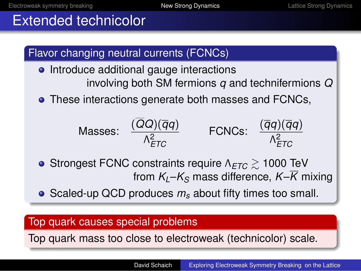# Extended technicolor



Top quark mass too close to electroweak (technicolor) scale.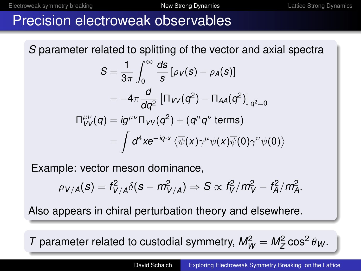# Precision electroweak observables

*S* parameter related to splitting of the vector and axial spectra

$$
S = \frac{1}{3\pi} \int_0^\infty \frac{ds}{s} \left[ \rho_V(s) - \rho_A(s) \right]
$$
  
=  $-4\pi \frac{d}{dq^2} \left[ \Pi_{VV}(q^2) - \Pi_{AA}(q^2) \right]_{q^2=0}$   

$$
\Pi_{VV}^{\mu\nu}(q) = ig^{\mu\nu} \Pi_{VV}(q^2) + (q^{\mu}q^{\nu} \text{ terms})
$$
  
=  $\int d^4 x e^{-iq \cdot x} \langle \overline{\psi}(x) \gamma^{\mu} \psi(x) \overline{\psi}(0) \gamma^{\nu} \psi(0) \rangle$ 

Example: vector meson dominance,

$$
\rho_{V/A}(s)=f_{V/A}^2\delta(s-m_{V/A}^2)\Rightarrow S\propto f_V^2/m_V^2-f_A^2/m_A^2.
$$

Also appears in chiral perturbation theory and elsewhere.

*T* parameter related to custodial symmetry,  $M_W^2 = M_Z^2 \cos^2 \theta_W$ .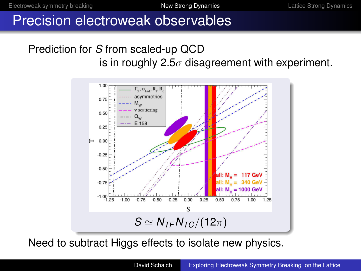## Precision electroweak observables

### Prediction for *S* from scaled-up QCD is in roughly 2.5 $\sigma$  disagreement with experiment.



Need to subtract Higgs effects to isolate new physics.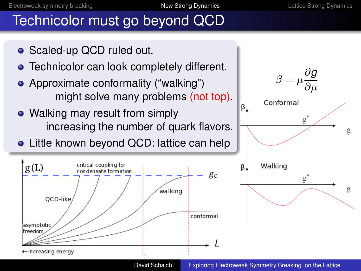# Technicolor must go beyond QCD

- Scaled-up QCD ruled out.
- **•** Technicolor can look completely different.
- Approximate conformality ("walking") might solve many problems (not top).
- Walking may result from simply increasing the number of quark flavors.
- Little known beyond QCD: lattice can help





David Schaich [Exploring Electroweak Symmetry Breaking on the Lattice](#page-0-0)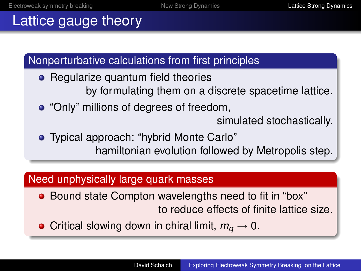# Lattice gauge theory

Nonperturbative calculations from first principles

- Regularize quantum field theories by formulating them on a discrete spacetime lattice.
- "Only" millions of degrees of freedom,

<span id="page-11-0"></span>simulated stochastically.

Typical approach: "hybrid Monte Carlo" hamiltonian evolution followed by Metropolis step.

### Need unphysically large quark masses

- Bound state Compton wavelengths need to fit in "box" to reduce effects of finite lattice size.
- Critical slowing down in chiral limit,  $m_q \to 0$ .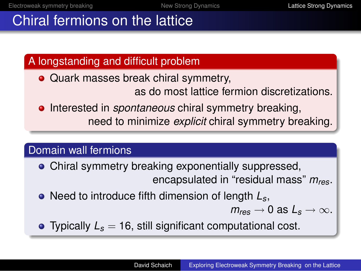# Chiral fermions on the lattice

A longstanding and difficult problem

- Quark masses break chiral symmetry, as do most lattice fermion discretizations.
- **•** Interested in *spontaneous* chiral symmetry breaking, need to minimize *explicit* chiral symmetry breaking.

### Domain wall fermions

- Chiral symmetry breaking exponentially suppressed, encapsulated in "residual mass" *mres*.
- Need to introduce fifth dimension of length  $L_s$ ,
	- $m_{res} \rightarrow 0$  as  $L_s \rightarrow \infty$ .
- Typically  $L_s = 16$ , still significant computational cost.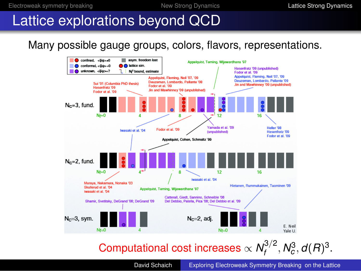### Lattice explorations beyond QCD

### Many possible gauge groups, colors, flavors, representations.



#### Computational cost increases  $\propto \mathcal{N}_t^{3/2}$  $f_f^{3/2}$ ,  $N_c^3$ ,  $d(R)^3$ .

David Schaich [Exploring Electroweak Symmetry Breaking on the Lattice](#page-0-0)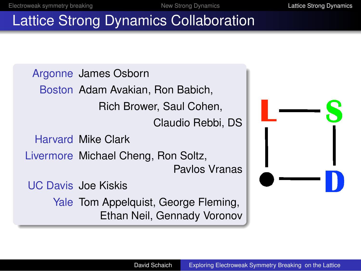# Lattice Strong Dynamics Collaboration

Argonne James Osborn Boston Adam Avakian, Ron Babich, Rich Brower, Saul Cohen, Claudio Rebbi, DS Harvard Mike Clark Livermore Michael Cheng, Ron Soltz, Pavlos Vranas UC Davis Joe Kiskis Yale Tom Appelquist, George Fleming, Ethan Neil, Gennady Voronov

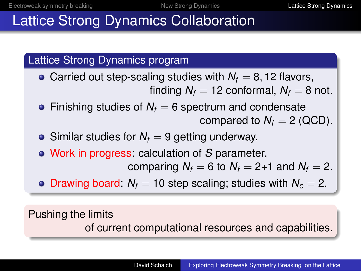# Lattice Strong Dynamics Collaboration

### Lattice Strong Dynamics program

- Carried out step-scaling studies with  $N_f = 8$ , 12 flavors, finding  $N_f = 12$  conformal,  $N_f = 8$  not.
- Finishing studies of  $N_f = 6$  spectrum and condensate compared to  $N_f = 2$  (QCD).
- Similar studies for  $N_f = 9$  getting underway.
- Work in progress: calculation of *S* parameter,

comparing  $N_f = 6$  to  $N_f = 2+1$  and  $N_f = 2$ .

• Drawing board:  $N_f = 10$  step scaling; studies with  $N_c = 2$ .

### Pushing the limits

of current computational resources and capabilities.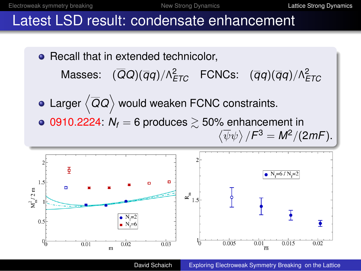## Latest LSD result: condensate enhancement

- Recall that in extended technicolor, Masses:  $(\overline{Q}Q)(\overline{q}q)/\Lambda_{ETC}^2$  FCNCs:  $(\overline{q}q)(\overline{q}q)/\Lambda_{ETC}^2$
- Larger  $\left\langle \overline{Q}Q\right\rangle$  would weaken FCNC constraints.
- $\bullet$  0910.2224:  $N_f = 6$  produces  $\geq 50\%$  enhancement in  $\langle \overline{\psi}\psi \rangle/F^3 = M^2/(2mF).$



David Schaich [Exploring Electroweak Symmetry Breaking on the Lattice](#page-0-0)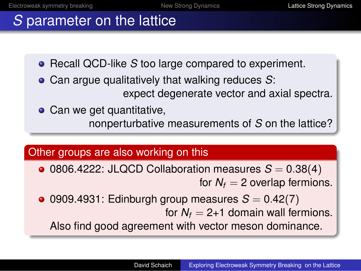# *S* parameter on the lattice

- **Recall QCD-like** *S* too large compared to experiment.
- Can argue qualitatively that walking reduces *S*: expect degenerate vector and axial spectra.
- Can we get quantitative, nonperturbative measurements of *S* on the lattice?

### Other groups are also working on this

- $\bullet$  0806.4222: JLQCD Collaboration measures  $S = 0.38(4)$ for  $N_f = 2$  overlap fermions.
- $\bullet$  0909.4931: Edinburgh group measures  $S = 0.42(7)$ for  $N_f = 2+1$  domain wall fermions.

Also find good agreement with vector meson dominance.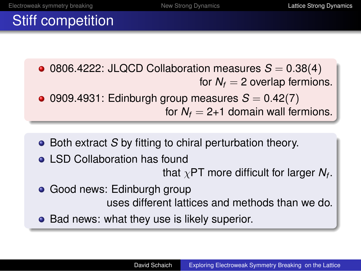# Stiff competition

 $\bullet$  0806.4222: JLQCD Collaboration measures  $S = 0.38(4)$ for  $N_f = 2$  overlap fermions.  $\bullet$  0909.4931: Edinburgh group measures  $S = 0.42(7)$ for  $N_f = 2+1$  domain wall fermions.

- Both extract *S* by fitting to chiral perturbation theory.
- **o** LSD Collaboration has found

that  $\chi$ PT more difficult for larger  $N_f.$ 

- **Good news: Edinburgh group** uses different lattices and methods than we do.
- Bad news: what they use is likely superior.